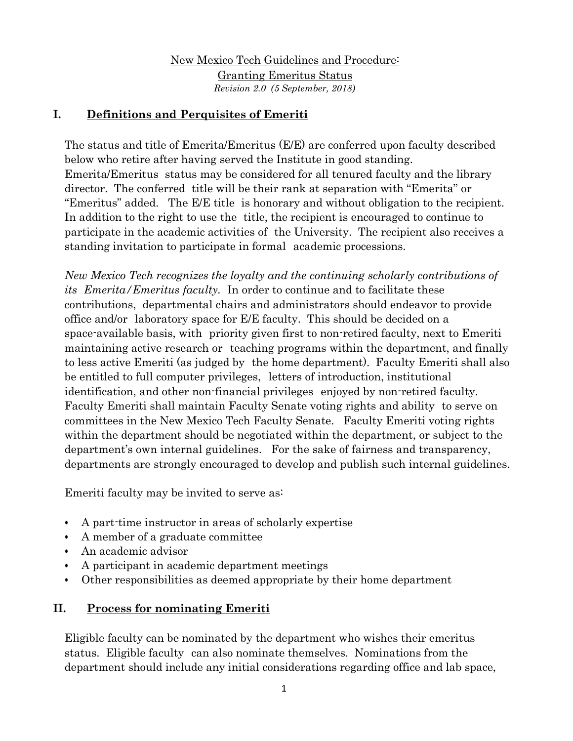New Mexico Tech Guidelines and Procedure: Granting Emeritus Status *Revision 2.0 (5 September, 2018)*

# **I. Definitions and Perquisites of Emeriti**

The status and title of Emerita/Emeritus (E/E) are conferred upon faculty described below who retire after having served the Institute in good standing. Emerita/Emeritus status may be considered for all tenured faculty and the library director. The conferred title will be their rank at separation with "Emerita" or "Emeritus" added. The E/E title is honorary and without obligation to the recipient. In addition to the right to use the title, the recipient is encouraged to continue to participate in the academic activities of the University. The recipient also receives a standing invitation to participate in formal academic processions.

*New Mexico Tech recognizes the loyalty and the continuing scholarly contributions of its Emerita/Emeritus faculty.* In order to continue and to facilitate these contributions, departmental chairs and administrators should endeavor to provide office and/or laboratory space for E/E faculty. This should be decided on a space-available basis, with priority given first to non-retired faculty, next to Emeriti maintaining active research or teaching programs within the department, and finally to less active Emeriti (as judged by the home department). Faculty Emeriti shall also be entitled to full computer privileges, letters of introduction, institutional identification, and other non-financial privileges enjoyed by non-retired faculty. Faculty Emeriti shall maintain Faculty Senate voting rights and ability to serve on committees in the New Mexico Tech Faculty Senate. Faculty Emeriti voting rights within the department should be negotiated within the department, or subject to the department's own internal guidelines. For the sake of fairness and transparency, departments are strongly encouraged to develop and publish such internal guidelines.

Emeriti faculty may be invited to serve as:

- A part-time instructor in areas of scholarly expertise
- A member of a graduate committee
- An academic advisor
- A participant in academic department meetings
- Other responsibilities as deemed appropriate by their home department

## **II. Process for nominating Emeriti**

Eligible faculty can be nominated by the department who wishes their emeritus status. Eligible faculty can also nominate themselves. Nominations from the department should include any initial considerations regarding office and lab space,